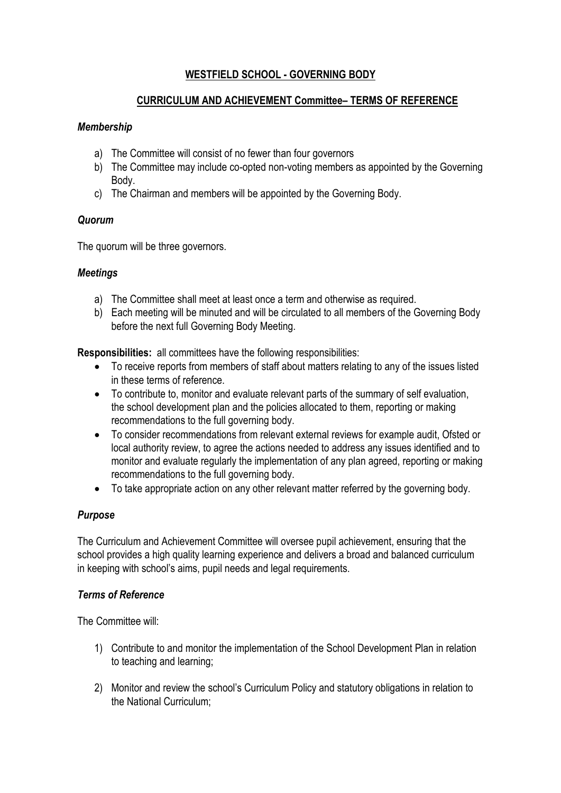# **WESTFIELD SCHOOL - GOVERNING BODY**

#### **CURRICULUM AND ACHIEVEMENT Committee– TERMS OF REFERENCE**

## *Membership*

- a) The Committee will consist of no fewer than four governors
- b) The Committee may include co-opted non-voting members as appointed by the Governing Body.
- c) The Chairman and members will be appointed by the Governing Body.

## *Quorum*

The quorum will be three governors.

## *Meetings*

- a) The Committee shall meet at least once a term and otherwise as required.
- b) Each meeting will be minuted and will be circulated to all members of the Governing Body before the next full Governing Body Meeting.

**Responsibilities:** all committees have the following responsibilities:

- To receive reports from members of staff about matters relating to any of the issues listed in these terms of reference.
- To contribute to, monitor and evaluate relevant parts of the summary of self evaluation, the school development plan and the policies allocated to them, reporting or making recommendations to the full governing body.
- To consider recommendations from relevant external reviews for example audit, Ofsted or local authority review, to agree the actions needed to address any issues identified and to monitor and evaluate regularly the implementation of any plan agreed, reporting or making recommendations to the full governing body.
- To take appropriate action on any other relevant matter referred by the governing body.

## *Purpose*

The Curriculum and Achievement Committee will oversee pupil achievement, ensuring that the school provides a high quality learning experience and delivers a broad and balanced curriculum in keeping with school's aims, pupil needs and legal requirements.

#### *Terms of Reference*

The Committee will:

- 1) Contribute to and monitor the implementation of the School Development Plan in relation to teaching and learning;
- 2) Monitor and review the school's Curriculum Policy and statutory obligations in relation to the National Curriculum;